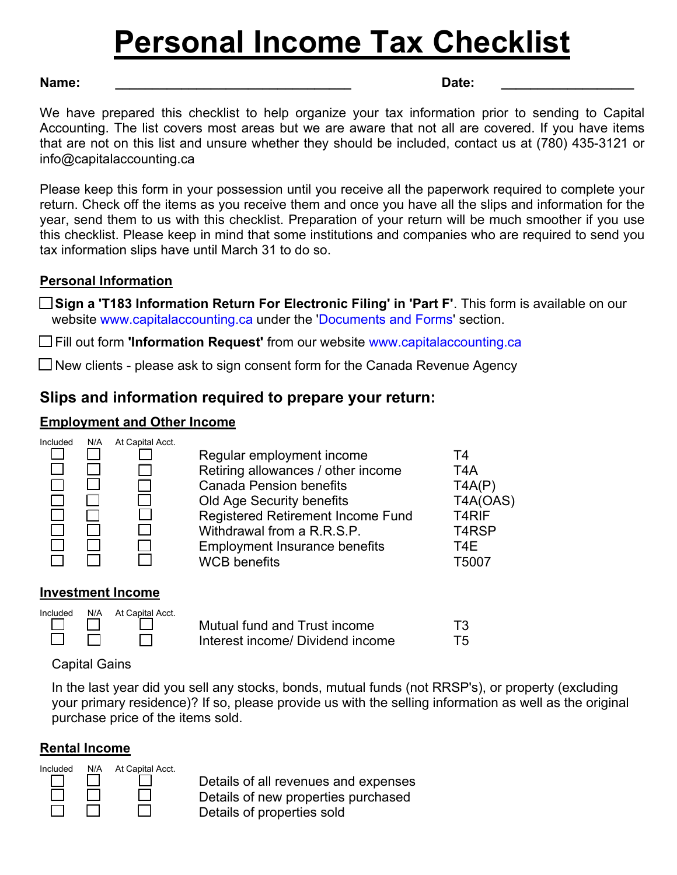# **Personal Income Tax Checklist**

#### **Name: \_\_\_\_\_\_\_\_\_\_\_\_\_\_\_\_\_\_\_\_\_\_\_\_\_\_\_\_\_\_\_\_ Date: \_\_\_\_\_\_\_\_\_\_\_\_\_\_\_\_\_\_**

We have prepared this checklist to help organize your tax information prior to sending to Capital Accounting. The list covers most areas but we are aware that not all are covered. If you have items that are not on this list and unsure whether they should be included, contact us at (780) 435-3121 or info@capitalaccounting.ca

Please keep this form in your possession until you receive all the paperwork required to complete your return. Check off the items as you receive them and once you have all the slips and information for the year, send them to us with this checklist. Preparation of your return will be much smoother if you use this checklist. Please keep in mind that some institutions and companies who are required to send you tax information slips have until March 31 to do so.

#### **Personal Information**

**Sign a 'T183 Information Return For Electronic Filing' in 'Part F'**. This form is available on our website www.capitalaccounting.ca under the 'Documents and Forms' section.

Fill out form **'Information Request'** from our website www.capitalaccounting.ca

 $\Box$  New clients - please ask to sign consent form for the Canada Revenue Agency

## **Slips and information required to prepare your return:**

### **Employment and Other Income**



| Regular employment income<br>Retiring allowances / other income<br><b>Canada Pension benefits</b><br>Old Age Security benefits<br><b>Registered Retirement Income Fund</b><br>Withdrawal from a R.R.S.P.<br><b>Employment Insurance benefits</b><br><b>WCB</b> benefits | T4<br>T4A<br>TAAP)<br>T4A(OAS)<br>T <sub>4</sub> RIF<br>T <sub>4</sub> R <sub>SP</sub><br>T4F<br>T5007 |
|-------------------------------------------------------------------------------------------------------------------------------------------------------------------------------------------------------------------------------------------------------------------------|--------------------------------------------------------------------------------------------------------|
|                                                                                                                                                                                                                                                                         |                                                                                                        |
|                                                                                                                                                                                                                                                                         |                                                                                                        |

### **Investment Income**

|               | Included N/A At Capital Acct. |                                  |    |
|---------------|-------------------------------|----------------------------------|----|
| $\Box$        |                               | Mutual fund and Trust income     | T3 |
| $\Box$ $\Box$ | <b>The Common Service</b>     | Interest income/ Dividend income | Т5 |

## Capital Gains

In the last year did you sell any stocks, bonds, mutual funds (not RRSP's), or property (excluding your primary residence)? If so, please provide us with the selling information as well as the original purchase price of the items sold.

### **Rental Income**



Details of all revenues and expenses Details of new properties purchased Details of properties sold